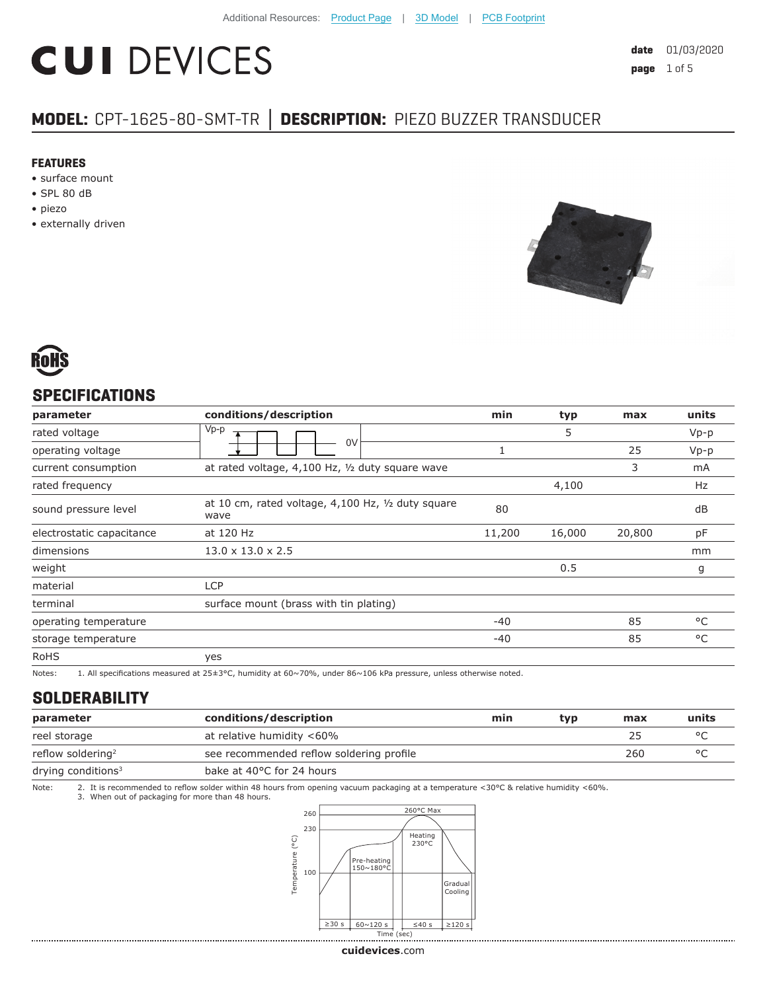# **CUI DEVICES**

# **MODEL:** CPT-1625-80-SMT-TR **│ DESCRIPTION:** PIEZO BUZZER TRANSDUCER

#### **FEATURES**

- surface mount
- SPL 80 dB
- piezo
- externally driven





#### **SPECIFICATIONS**

| parameter                 | conditions/description                                     | min    | typ    | max    | units        |
|---------------------------|------------------------------------------------------------|--------|--------|--------|--------------|
| rated voltage             | $Vp-p$                                                     |        | 5      |        | $Vp-p$       |
| operating voltage         | 0V                                                         |        |        | 25     | $Vp-p$       |
| current consumption       | at rated voltage, 4,100 Hz, 1/2 duty square wave           |        |        | 3      | mA           |
| rated frequency           |                                                            |        | 4,100  |        | Hz           |
| sound pressure level      | at 10 cm, rated voltage, 4,100 Hz, 1/2 duty square<br>wave | 80     |        |        | dB           |
| electrostatic capacitance | at 120 Hz                                                  | 11,200 | 16,000 | 20,800 | pF           |
| dimensions                | $13.0 \times 13.0 \times 2.5$                              |        |        |        | mm           |
| weight                    |                                                            |        | 0.5    |        | g            |
| material                  | <b>LCP</b>                                                 |        |        |        |              |
| terminal                  | surface mount (brass with tin plating)                     |        |        |        |              |
| operating temperature     |                                                            | $-40$  |        | 85     | $^{\circ}$ C |
| storage temperature       |                                                            | $-40$  |        | 85     | °C           |
| <b>RoHS</b>               | yes                                                        |        |        |        |              |

Notes: 1. All specifications measured at 25±3°C, humidity at 60~70%, under 86~106 kPa pressure, unless otherwise noted.

#### **SOLDERABILITY**

| parameter                     | conditions/description                   | min | typ | max | units |
|-------------------------------|------------------------------------------|-----|-----|-----|-------|
| reel storage                  | at relative humidity <60%                |     |     | 25  |       |
| reflow soldering <sup>2</sup> | see recommended reflow soldering profile |     |     | 260 |       |
| drying conditions $3$         | bake at 40°C for 24 hours                |     |     |     |       |

Note: 2. It is recommended to reflow solder within 48 hours from opening vacuum packaging at a temperature <30°C & relative humidity <60%.<br>3. When out of packaging for more than 48 hours.



**cui[devices](https://www.cuidevices.com/track?actionLabel=Datasheet-ClickThrough-HomePage&label=CPT-1625-80-SMT-TR.pdf&path=/)**.com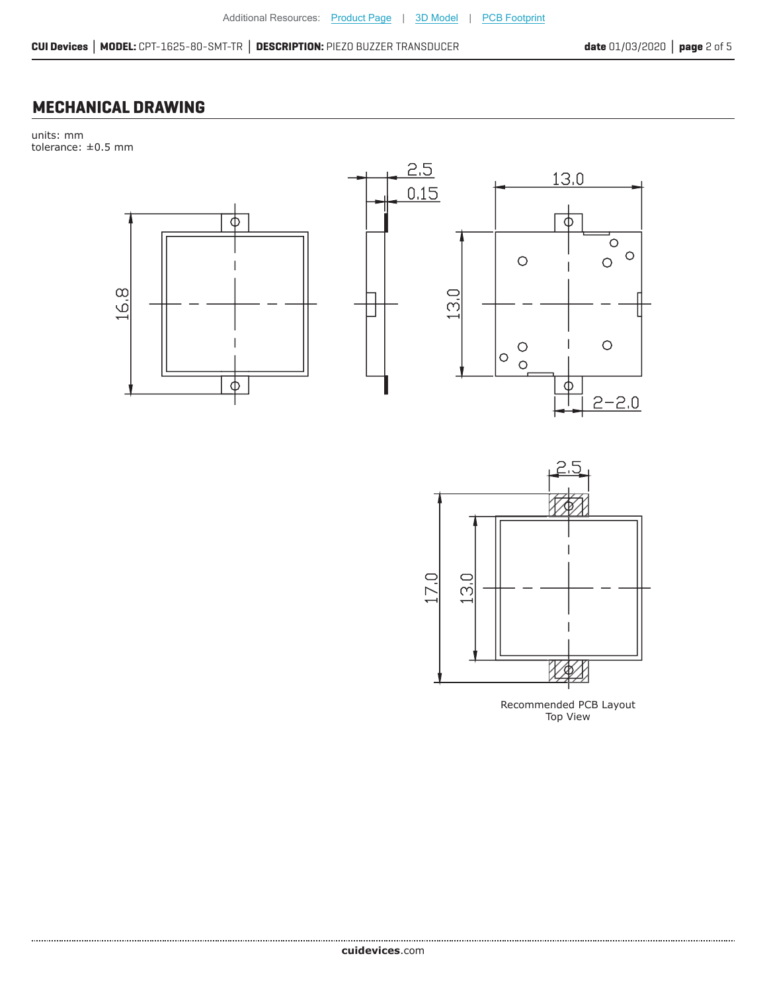**CUI Devices │ MODEL:** CPT-1625-80-SMT-TR **│ DESCRIPTION:** PIEZO BUZZER TRANSDUCER **date** 01/03/2020 **│ page** 2 of 5

### **MECHANICAL DRAWING**

units: mm tolerance: ±0.5 mm





Recommended PCB Layout Top View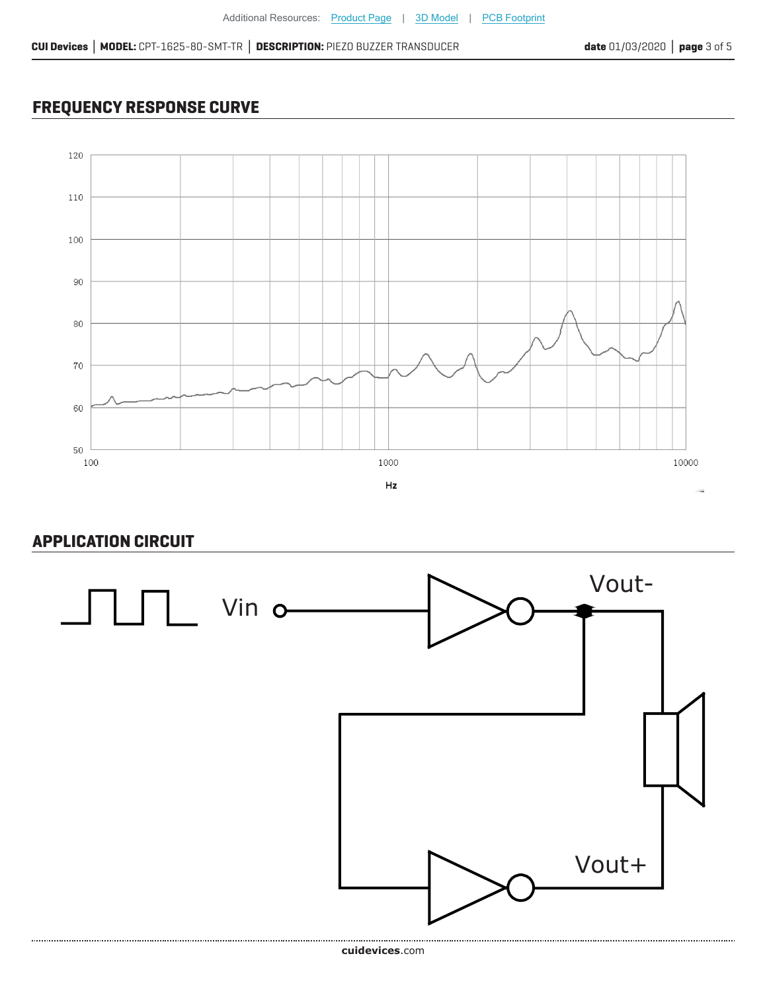# **FREQUENCY RESPONSE CURVE**



## **APPLICATION CIRCUIT**

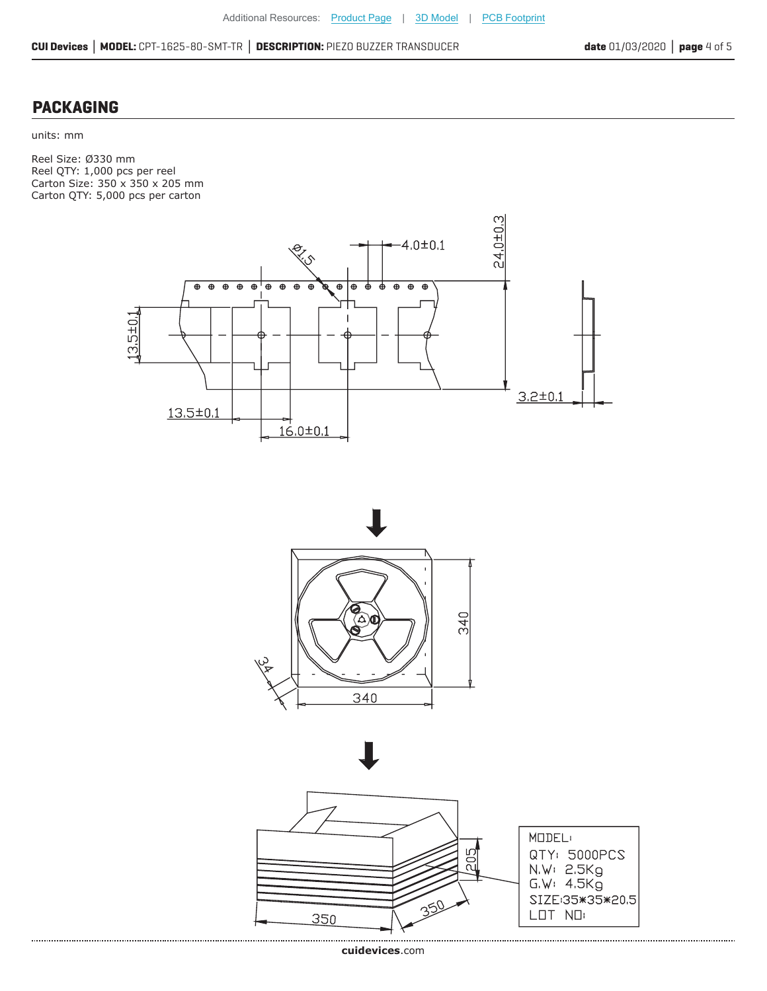**CUI Devices │ MODEL:** CPT-1625-80-SMT-TR **│ DESCRIPTION:** PIEZO BUZZER TRANSDUCER **date** 01/03/2020 **│ page** 4 of 5

#### **PACKAGING**

units: mm

Reel Size: Ø330 mm Reel QTY: 1,000 pcs per reel Carton Size: 350 x 350 x 205 mm Carton QTY: 5,000 pcs per carton